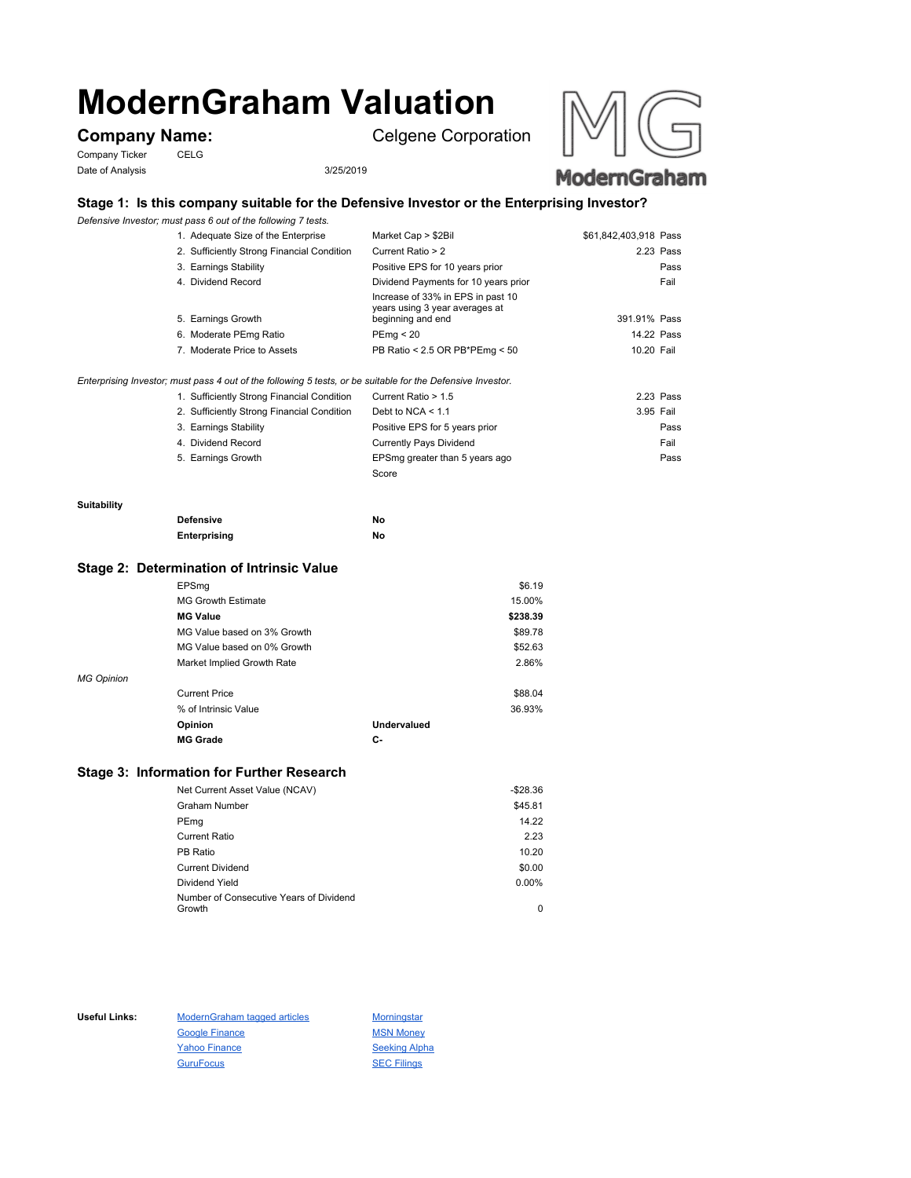# **ModernGraham Valuation**

Company Ticker CELG Date of Analysis 3/25/2019

**Company Name:** Celgene Corporation





# **Stage 1: Is this company suitable for the Defensive Investor or the Enterprising Investor?**

*Defensive Investor; must pass 6 out of the following 7 tests.*

| 1. Adequate Size of the Enterprise         | Market Cap > \$2Bil                                                                      | \$61,842,403,918 Pass |
|--------------------------------------------|------------------------------------------------------------------------------------------|-----------------------|
| 2. Sufficiently Strong Financial Condition | Current Ratio > 2                                                                        | 2.23 Pass             |
| 3. Earnings Stability                      | Positive EPS for 10 years prior                                                          | Pass                  |
| 4. Dividend Record                         | Dividend Payments for 10 years prior                                                     | Fail                  |
| 5. Earnings Growth                         | Increase of 33% in EPS in past 10<br>years using 3 year averages at<br>beginning and end | 391.91% Pass          |
| 6. Moderate PEmg Ratio                     | PEmq < 20                                                                                | 14.22 Pass            |
| 7. Moderate Price to Assets                | PB Ratio < 2.5 OR PB*PEmg < 50                                                           | 10.20 Fail            |
|                                            |                                                                                          |                       |

#### *Enterprising Investor; must pass 4 out of the following 5 tests, or be suitable for the Defensive Investor.*

| 1. Sufficiently Strong Financial Condition | Current Ratio > 1.5            | 2.23 Pass |
|--------------------------------------------|--------------------------------|-----------|
| 2. Sufficiently Strong Financial Condition | Debt to NCA $<$ 1.1            | 3.95 Fail |
| 3. Earnings Stability                      | Positive EPS for 5 years prior | Pass      |
| 4. Dividend Record                         | <b>Currently Pays Dividend</b> | Fail      |
| 5. Earnings Growth                         | EPSmg greater than 5 years ago | Pass      |
|                                            | Score                          |           |

#### **Suitability**

| <b>Defensive</b> | Νo |
|------------------|----|
| Enterprising     | Νo |

### **Stage 2: Determination of Intrinsic Value**

|                   | EPSmg                       |                    | \$6.19   |
|-------------------|-----------------------------|--------------------|----------|
|                   | <b>MG Growth Estimate</b>   |                    | 15.00%   |
|                   | <b>MG Value</b>             |                    | \$238.39 |
|                   | MG Value based on 3% Growth |                    | \$89.78  |
|                   | MG Value based on 0% Growth |                    | \$52.63  |
|                   | Market Implied Growth Rate  |                    | 2.86%    |
| <b>MG Opinion</b> |                             |                    |          |
|                   | <b>Current Price</b>        |                    | \$88.04  |
|                   | % of Intrinsic Value        |                    | 36.93%   |
|                   | Opinion                     | <b>Undervalued</b> |          |
|                   | <b>MG Grade</b>             | С-                 |          |
|                   |                             |                    |          |

## **Stage 3: Information for Further Research**

| Net Current Asset Value (NCAV)          | $-$28.36$ |
|-----------------------------------------|-----------|
| Graham Number                           | \$45.81   |
| PEmg                                    | 14.22     |
| Current Ratio                           | 2.23      |
| PB Ratio                                | 10.20     |
| <b>Current Dividend</b>                 | \$0.00    |
| Dividend Yield                          | $0.00\%$  |
| Number of Consecutive Years of Dividend |           |
| Growth                                  | 0         |

Useful Links: ModernGraham tagged articles Morningstar Google Finance MSN Money Yahoo Finance Seeking Alpha GuruFocus SEC Filings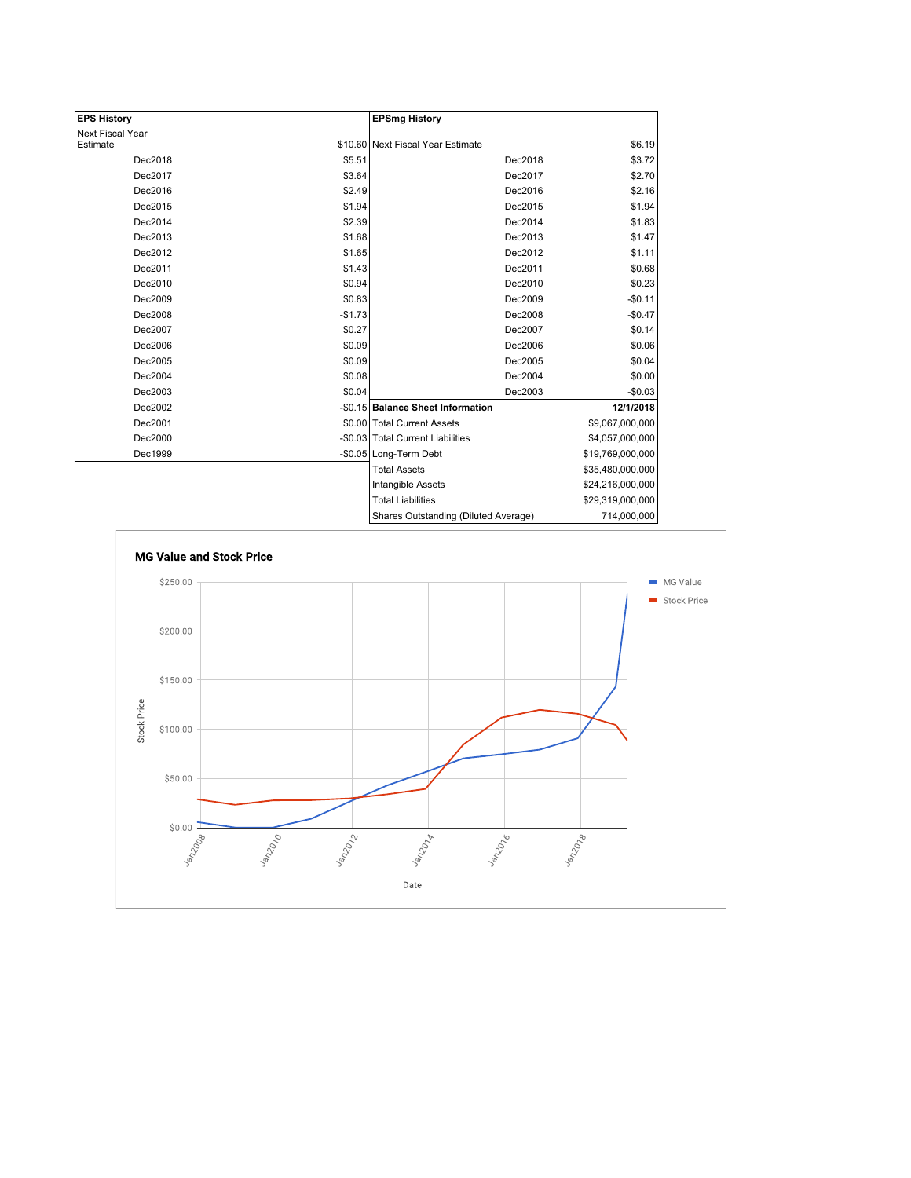| <b>EPS History</b>      |          | <b>EPSmg History</b>                 |                  |
|-------------------------|----------|--------------------------------------|------------------|
| <b>Next Fiscal Year</b> |          |                                      |                  |
| Estimate                |          | \$10.60 Next Fiscal Year Estimate    | \$6.19           |
| Dec2018                 | \$5.51   | Dec2018                              | \$3.72           |
| Dec2017                 | \$3.64   | Dec2017                              | \$2.70           |
| Dec2016                 | \$2.49   | Dec2016                              | \$2.16           |
| Dec2015                 | \$1.94   | Dec2015                              | \$1.94           |
| Dec2014                 | \$2.39   | Dec2014                              | \$1.83           |
| Dec2013                 | \$1.68   | Dec2013                              | \$1.47           |
| Dec2012                 | \$1.65   | Dec2012                              | \$1.11           |
| Dec2011                 | \$1.43   | Dec2011                              | \$0.68           |
| Dec2010                 | \$0.94   | Dec2010                              | \$0.23           |
| Dec2009                 | \$0.83   | Dec2009                              | $-$0.11$         |
| Dec2008                 | $-$1.73$ | Dec2008                              | $-$0.47$         |
| Dec2007                 | \$0.27   | Dec2007                              | \$0.14           |
| Dec2006                 | \$0.09   | Dec2006                              | \$0.06           |
| Dec2005                 | \$0.09   | Dec2005                              | \$0.04           |
| Dec2004                 | \$0.08   | Dec2004                              | \$0.00           |
| Dec2003                 | \$0.04   | Dec2003                              | $-$0.03$         |
| Dec2002                 |          | -\$0.15 Balance Sheet Information    | 12/1/2018        |
| Dec2001                 |          | \$0.00 Total Current Assets          | \$9,067,000,000  |
| Dec2000                 |          | -\$0.03 Total Current Liabilities    | \$4,057,000,000  |
| Dec1999                 |          | -\$0.05 Long-Term Debt               | \$19,769,000,000 |
|                         |          | <b>Total Assets</b>                  | \$35,480,000,000 |
|                         |          | Intangible Assets                    | \$24,216,000,000 |
|                         |          | <b>Total Liabilities</b>             | \$29,319,000,000 |
|                         |          | Shares Outstanding (Diluted Average) | 714,000,000      |